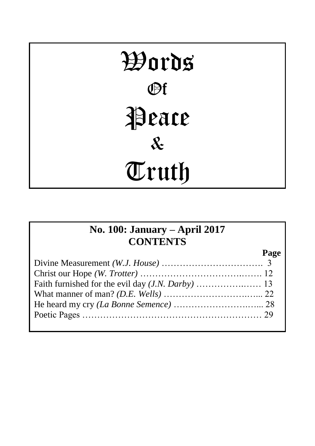# Words Of Peace & Truth

## **No. 100: January – April 2017 CONTENTS**

**Page**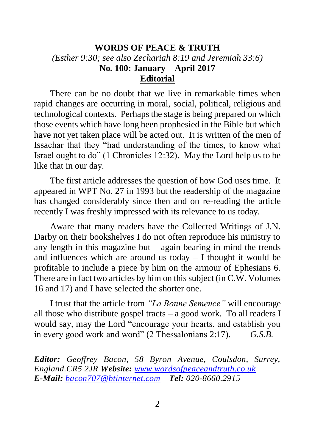#### **WORDS OF PEACE & TRUTH** *(Esther 9:30; see also Zechariah 8:19 and Jeremiah 33:6)* **No. 100: January – April 2017 Editorial**

There can be no doubt that we live in remarkable times when rapid changes are occurring in moral, social, political, religious and technological contexts. Perhaps the stage is being prepared on which those events which have long been prophesied in the Bible but which have not yet taken place will be acted out. It is written of the men of Issachar that they "had understanding of the times, to know what Israel ought to do" (1 Chronicles 12:32). May the Lord help us to be like that in our day.

The first article addresses the question of how God uses time. It appeared in WPT No. 27 in 1993 but the readership of the magazine has changed considerably since then and on re-reading the article recently I was freshly impressed with its relevance to us today.

Aware that many readers have the Collected Writings of J.N. Darby on their bookshelves I do not often reproduce his ministry to any length in this magazine but  $-$  again bearing in mind the trends and influences which are around us today  $-$  I thought it would be profitable to include a piece by him on the armour of Ephesians 6. There are in fact two articles by him on this subject (in C.W. Volumes 16 and 17) and I have selected the shorter one.

I trust that the article from *"La Bonne Semence"* will encourage all those who distribute gospel tracts – a good work. To all readers I would say, may the Lord "encourage your hearts, and establish you in every good work and word" (2 Thessalonians 2:17). *G.S.B.*

*Editor: Geoffrey Bacon, 58 Byron Avenue, Coulsdon, Surrey, England.CR5 2JR Website: [www.wordsofpeaceandtruth.co.uk](http://www.wordsofpeaceandtruth.co.uk/) E-Mail: [bacon707@btinternet.com](mailto:bacon707@btinternet.com) Tel: 020-8660.2915*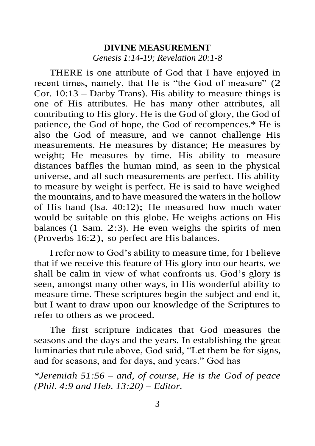#### **DIVINE MEASUREMENT** *Genesis 1:14-19; Revelation 20:1-8*

THERE is one attribute of God that I have enjoyed in recent times, namely, that He is "the God of measure" (2 Cor. 10:13 – Darby Trans). His ability to measure things is one of His attributes. He has many other attributes, all contributing to His glory. He is the God of glory, the God of patience, the God of hope, the God of recompences.\* He is also the God of measure, and we cannot challenge His measurements. He measures by distance; He measures by weight; He measures by time. His ability to measure distances baffles the human mind, as seen in the physical universe, and all such measurements are perfect. His ability to measure by weight is perfect. He is said to have weighed the mountains, and to have measured the waters in the hollow of His hand (Isa. 40:12); He measured how much water would be suitable on this globe. He weighs actions on His balances (1 Sam. 2:3). He even weighs the spirits of men (Proverbs 16:2), so perfect are His balances.

I refer now to God's ability to measure time, for I believe that if we receive this feature of His glory into our hearts, we shall be calm in view of what confronts us. God's glory is seen, amongst many other ways, in His wonderful ability to measure time. These scriptures begin the subject and end it, but I want to draw upon our knowledge of the Scriptures to refer to others as we proceed.

The first scripture indicates that God measures the seasons and the days and the years. In establishing the great luminaries that rule above, God said, "Let them be for signs, and for seasons, and for days, and years." God has

*\*Jeremiah 51:56 – and, of course, He is the God of peace (Phil. 4:9 and Heb. 13:20) – Editor.*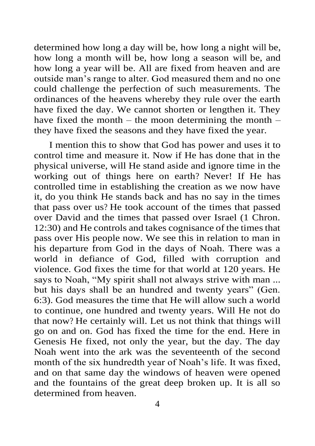determined how long a day will be, how long a night will be, how long a month will be, how long a season will be, and how long a year will be. All are fixed from heaven and are outside man's range to alter. God measured them and no one could challenge the perfection of such measurements. The ordinances of the heavens whereby they rule over the earth have fixed the day. We cannot shorten or lengthen it. They have fixed the month – the moon determining the month – they have fixed the seasons and they have fixed the year.

I mention this to show that God has power and uses it to control time and measure it. Now if He has done that in the physical universe, will He stand aside and ignore time in the working out of things here on earth? Never! If He has controlled time in establishing the creation as we now have it, do you think He stands back and has no say in the times that pass over us? He took account of the times that passed over David and the times that passed over Israel (1 Chron. 12:30) and He controls and takes cognisance of the times that pass over His people now. We see this in relation to man in his departure from God in the days of Noah. There was a world in defiance of God, filled with corruption and violence. God fixes the time for that world at 120 years. He says to Noah, "My spirit shall not always strive with man ... but his days shall be an hundred and twenty years" (Gen. 6:3). God measures the time that He will allow such a world to continue, one hundred and twenty years. Will He not do that now? He certainly will. Let us not think that things will go on and on. God has fixed the time for the end. Here in Genesis He fixed, not only the year, but the day. The day Noah went into the ark was the seventeenth of the second month of the six hundredth year of Noah's life. It was fixed, and on that same day the windows of heaven were opened and the fountains of the great deep broken up. It is all so determined from heaven.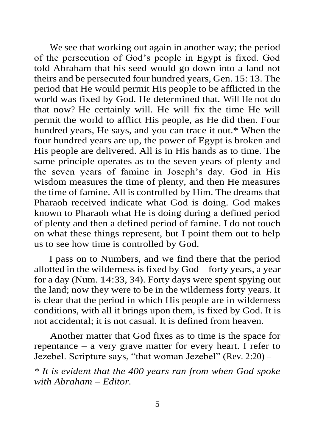We see that working out again in another way; the period of the persecution of God's people in Egypt is fixed. God told Abraham that his seed would go down into a land not theirs and be persecuted four hundred years, Gen. 15: 13. The period that He would permit His people to be afflicted in the world was fixed by God. He determined that. Will He not do that now? He certainly will. He will fix the time He will permit the world to afflict His people, as He did then. Four hundred years, He says, and you can trace it out.\* When the four hundred years are up, the power of Egypt is broken and His people are delivered. All is in His hands as to time. The same principle operates as to the seven years of plenty and the seven years of famine in Joseph's day. God in His wisdom measures the time of plenty, and then He measures the time of famine. All is controlled by Him. The dreams that Pharaoh received indicate what God is doing. God makes known to Pharaoh what He is doing during a defined period of plenty and then a defined period of famine. I do not touch on what these things represent, but I point them out to help us to see how time is controlled by God.

I pass on to Numbers, and we find there that the period allotted in the wilderness is fixed by God – forty years, a year for a day (Num. 14:33, 34). Forty days were spent spying out the land; now they were to be in the wilderness forty years. It is clear that the period in which His people are in wilderness conditions, with all it brings upon them, is fixed by God. It is not accidental; it is not casual. It is defined from heaven.

Another matter that God fixes as to time is the space for repentance – a very grave matter for every heart. I refer to Jezebel. Scripture says, "that woman Jezebel" (Rev. 2:20) –

*\* It is evident that the 400 years ran from when God spoke with Abraham – Editor.*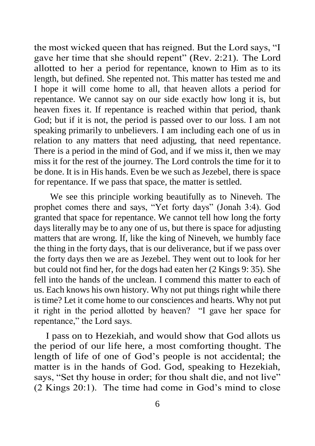the most wicked queen that has reigned. But the Lord says, "I gave her time that she should repent" (Rev. 2:21). The Lord allotted to her a period for repentance, known to Him as to its length, but defined. She repented not. This matter has tested me and I hope it will come home to all, that heaven allots a period for repentance. We cannot say on our side exactly how long it is, but heaven fixes it. If repentance is reached within that period, thank God; but if it is not, the period is passed over to our loss. I am not speaking primarily to unbelievers. I am including each one of us in relation to any matters that need adjusting, that need repentance. There is a period in the mind of God, and if we miss it, then we may miss it for the rest of the journey. The Lord controls the time for it to be done. It is in His hands. Even be we such as Jezebel, there is space for repentance. If we pass that space, the matter is settled.

We see this principle working beautifully as to Nineveh. The prophet comes there and says, "Yet forty days" (Jonah 3:4). God granted that space for repentance. We cannot tell how long the forty days literally may be to any one of us, but there is space for adjusting matters that are wrong. If, like the king of Nineveh, we humbly face the thing in the forty days, that is our deliverance, but if we pass over the forty days then we are as Jezebel. They went out to look for her but could not find her, for the dogs had eaten her (2 Kings 9: 35). She fell into the hands of the unclean. I commend this matter to each of us. Each knows his own history. Why not put things right while there is time? Let it come home to our consciences and hearts. Why not put it right in the period allotted by heaven? "I gave her space for repentance," the Lord says.

I pass on to Hezekiah, and would show that God allots us the period of our life here, a most comforting thought. The length of life of one of God's people is not accidental; the matter is in the hands of God. God, speaking to Hezekiah, says, "Set thy house in order; for thou shalt die, and not live" (2 Kings 20:1). The time had come in God's mind to close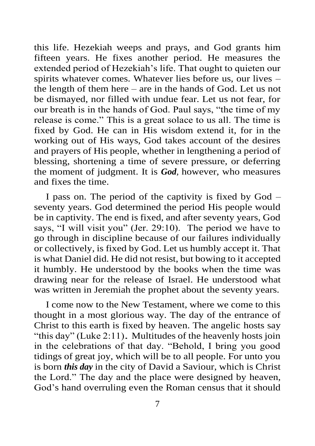this life. Hezekiah weeps and prays, and God grants him fifteen years. He fixes another period. He measures the extended period of Hezekiah's life. That ought to quieten our spirits whatever comes. Whatever lies before us, our lives – the length of them here – are in the hands of God. Let us not be dismayed, nor filled with undue fear. Let us not fear, for our breath is in the hands of God. Paul says, "the time of my release is come." This is a great solace to us all. The time is fixed by God. He can in His wisdom extend it, for in the working out of His ways, God takes account of the desires and prayers of His people, whether in lengthening a period of blessing, shortening a time of severe pressure, or deferring the moment of judgment. It is *God,* however, who measures and fixes the time.

I pass on. The period of the captivity is fixed by God – seventy years. God determined the period His people would be in captivity. The end is fixed, and after seventy years, God says, "I will visit you" (Jer. 29:10). The period we have to go through in discipline because of our failures individually or collectively, is fixed by God. Let us humbly accept it. That is what Daniel did. He did not resist, but bowing to it accepted it humbly. He understood by the books when the time was drawing near for the release of Israel. He understood what was written in Jeremiah the prophet about the seventy years.

I come now to the New Testament, where we come to this thought in a most glorious way. The day of the entrance of Christ to this earth is fixed by heaven. The angelic hosts say "this day" (Luke 2:11). Multitudes of the heavenly hosts join in the celebrations of that day. "Behold, I bring you good tidings of great joy, which will be to all people. For unto you is born *this day* in the city of David a Saviour, which is Christ the Lord." The day and the place were designed by heaven, God's hand overruling even the Roman census that it should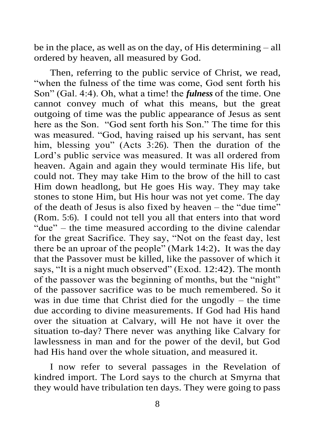be in the place, as well as on the day, of His determining – all ordered by heaven, all measured by God.

Then, referring to the public service of Christ, we read, "when the fulness of the time was come, God sent forth his Son" (Gal. 4:4). Oh, what a time! the *fulness* of the time. One cannot convey much of what this means, but the great outgoing of time was the public appearance of Jesus as sent here as the Son. "God sent forth his Son." The time for this was measured. "God, having raised up his servant, has sent him, blessing you" (Acts 3:26). Then the duration of the Lord's public service was measured. It was all ordered from heaven. Again and again they would terminate His life, but could not. They may take Him to the brow of the hill to cast Him down headlong, but He goes His way. They may take stones to stone Him, but His hour was not yet come. The day of the death of Jesus is also fixed by heaven – the "due time" (Rom. 5:6). I could not tell you all that enters into that word "due" – the time measured according to the divine calendar for the great Sacrifice. They say, "Not on the feast day, lest there be an uproar of the people" (Mark 14:2)*.* It was the day that the Passover must be killed, like the passover of which it says, "It is a night much observed" (Exod. 12:42). The month of the passover was the beginning of months, but the "night" of the passover sacrifice was to be much remembered. So it was in due time that Christ died for the ungodly – the time due according to divine measurements. If God had His hand over the situation at Calvary, will He not have it over the situation to-day? There never was anything like Calvary for lawlessness in man and for the power of the devil, but God had His hand over the whole situation, and measured it.

I now refer to several passages in the Revelation of kindred import. The Lord says to the church at Smyrna that they would have tribulation ten days. They were going to pass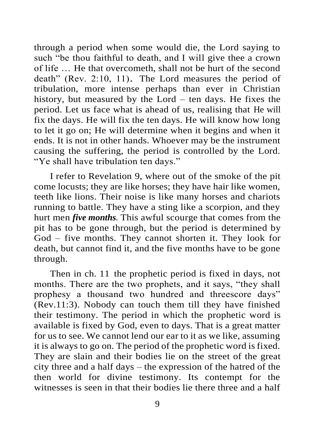through a period when some would die, the Lord saying to such "be thou faithful to death, and I will give thee a crown of life … He that overcometh, shall not be hurt of the second death" (Rev. 2:10, 11). The Lord measures the period of tribulation, more intense perhaps than ever in Christian history, but measured by the Lord – ten days. He fixes the period. Let us face what is ahead of us, realising that He will fix the days. He will fix the ten days. He will know how long to let it go on; He will determine when it begins and when it ends. It is not in other hands. Whoever may be the instrument causing the suffering, the period is controlled by the Lord. "Ye shall have tribulation ten days."

I refer to Revelation 9, where out of the smoke of the pit come locusts; they are like horses; they have hair like women, teeth like lions. Their noise is like many horses and chariots running to battle. They have a sting like a scorpion, and they hurt men *five months.* This awful scourge that comes from the pit has to be gone through, but the period is determined by God – five months. They cannot shorten it. They look for death, but cannot find it, and the five months have to be gone through.

Then in ch. 11 the prophetic period is fixed in days, not months. There are the two prophets, and it says, "they shall prophesy a thousand two hundred and threescore days" (Rev.11:3). Nobody can touch them till they have finished their testimony. The period in which the prophetic word is available is fixed by God, even to days. That is a great matter for us to see. We cannot lend our ear to it as we like, assuming it is always to go on. The period of the prophetic word is fixed. They are slain and their bodies lie on the street of the great city three and a half days – the expression of the hatred of the then world for divine testimony. Its contempt for the witnesses is seen in that their bodies lie there three and a half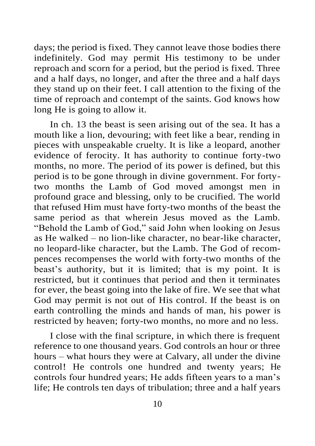days; the period is fixed. They cannot leave those bodies there indefinitely. God may permit His testimony to be under reproach and scorn for a period, but the period is fixed. Three and a half days, no longer, and after the three and a half days they stand up on their feet. I call attention to the fixing of the time of reproach and contempt of the saints. God knows how long He is going to allow it.

In ch. 13 the beast is seen arising out of the sea. It has a mouth like a lion, devouring; with feet like a bear, rending in pieces with unspeakable cruelty. It is like a leopard, another evidence of ferocity. It has authority to continue forty-two months, no more. The period of its power is defined, but this period is to be gone through in divine government. For fortytwo months the Lamb of God moved amongst men in profound grace and blessing, only to be crucified. The world that refused Him must have forty-two months of the beast the same period as that wherein Jesus moved as the Lamb. "Behold the Lamb of God," said John when looking on Jesus as He walked – no lion-like character, no bear-like character, no leopard-like character, but the Lamb. The God of recompences recompenses the world with forty-two months of the beast's authority, but it is limited; that is my point. It is restricted, but it continues that period and then it terminates for ever, the beast going into the lake of fire. We see that what God may permit is not out of His control. If the beast is on earth controlling the minds and hands of man, his power is restricted by heaven; forty-two months, no more and no less.

I close with the final scripture, in which there is frequent reference to one thousand years. God controls an hour or three hours – what hours they were at Calvary, all under the divine control! He controls one hundred and twenty years; He controls four hundred years; He adds fifteen years to a man's life; He controls ten days of tribulation; three and a half years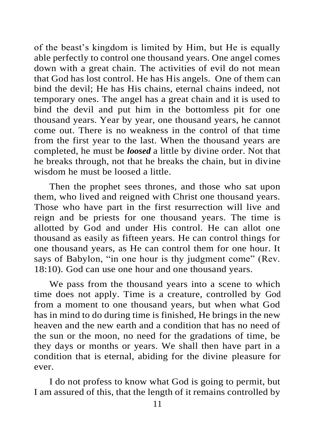of the beast's kingdom is limited by Him, but He is equally able perfectly to control one thousand years. One angel comes down with a great chain. The activities of evil do not mean that God has lost control. He has His angels. One of them can bind the devil; He has His chains, eternal chains indeed, not temporary ones. The angel has a great chain and it is used to bind the devil and put him in the bottomless pit for one thousand years. Year by year, one thousand years, he cannot come out. There is no weakness in the control of that time from the first year to the last. When the thousand years are completed, he must be *loosed* a little by divine order. Not that he breaks through, not that he breaks the chain, but in divine wisdom he must be loosed a little.

Then the prophet sees thrones, and those who sat upon them, who lived and reigned with Christ one thousand years. Those who have part in the first resurrection will live and reign and be priests for one thousand years. The time is allotted by God and under His control. He can allot one thousand as easily as fifteen years. He can control things for one thousand years, as He can control them for one hour. It says of Babylon, "in one hour is thy judgment come" (Rev. 18:10). God can use one hour and one thousand years.

We pass from the thousand years into a scene to which time does not apply. Time is a creature, controlled by God from a moment to one thousand years, but when what God has in mind to do during time is finished, He brings in the new heaven and the new earth and a condition that has no need of the sun or the moon, no need for the gradations of time, be they days or months or years. We shall then have part in a condition that is eternal, abiding for the divine pleasure for ever.

I do not profess to know what God is going to permit, but I am assured of this, that the length of it remains controlled by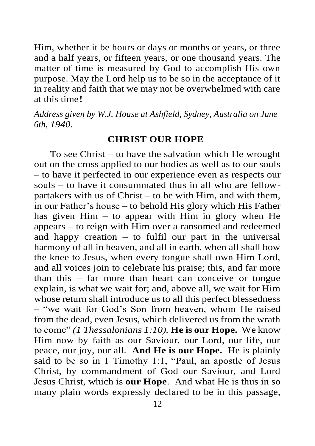Him, whether it be hours or days or months or years, or three and a half years, or fifteen years, or one thousand years. The matter of time is measured by God to accomplish His own purpose. May the Lord help us to be so in the acceptance of it in reality and faith that we may not be overwhelmed with care at this time!

*Address given by W.J. House at Ashfield, Sydney, Australia on June 6th, 1940*.

#### **CHRIST OUR HOPE**

To see Christ – to have the salvation which He wrought out on the cross applied to our bodies as well as to our souls – to have it perfected in our experience even as respects our souls – to have it consummated thus in all who are fellowpartakers with us of Christ – to be with Him, and with them, in our Father's house – to behold His glory which His Father has given  $\text{Him}$  – to appear with  $\text{Him}$  in glory when  $\text{He}$ appears – to reign with Him over a ransomed and redeemed and happy creation – to fulfil our part in the universal harmony of all in heaven, and all in earth, when all shall bow the knee to Jesus, when every tongue shall own Him Lord, and all voices join to celebrate his praise; this, and far more than this – far more than heart can conceive or tongue explain, is what we wait for; and, above all, we wait for Him whose return shall introduce us to all this perfect blessedness – "we wait for God's Son from heaven, whom He raised from the dead, even Jesus, which delivered us from the wrath to come" *(1 Thessalonians 1:10).* **He is our Hope.** We know Him now by faith as our Saviour, our Lord, our life, our peace, our joy, our all. **And He is our Hope.** He is plainly said to be so in 1 Timothy 1:1, "Paul, an apostle of Jesus Christ, by commandment of God our Saviour, and Lord Jesus Christ, which is **our Hope**. And what He is thus in so many plain words expressly declared to be in this passage,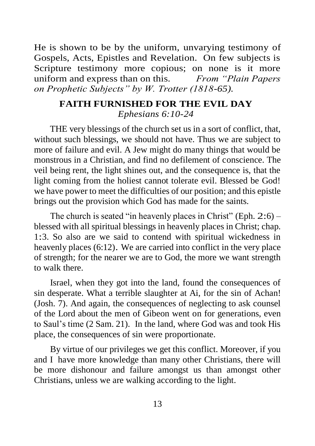He is shown to be by the uniform, unvarying testimony of Gospels, Acts, Epistles and Revelation. On few subjects is Scripture testimony more copious; on none is it more uniform and express than on this. *From "Plain Papers on Prophetic Subjects" by W. Trotter (1818-65).*

### **FAITH FURNISHED FOR THE EVIL DAY** *Ephesians 6:10-24*

THE very blessings of the church set us in a sort of conflict, that, without such blessings, we should not have. Thus we are subject to more of failure and evil. A Jew might do many things that would be monstrous in a Christian, and find no defilement of conscience. The veil being rent, the light shines out, and the consequence is, that the light coming from the holiest cannot tolerate evil. Blessed be God! we have power to meet the difficulties of our position; and this epistle brings out the provision which God has made for the saints.

The church is seated "in heavenly places in Christ" (Eph.  $2:6$ ) – blessed with all spiritual blessings in heavenly places in Christ; chap. 1:3. So also are we said to contend with spiritual wickedness in heavenly places (6:12). We are carried into conflict in the very place of strength; for the nearer we are to God, the more we want strength to walk there.

Israel, when they got into the land, found the consequences of sin desperate. What a terrible slaughter at Ai, for the sin of Achan! (Josh. 7). And again, the consequences of neglecting to ask counsel of the Lord about the men of Gibeon went on for generations, even to Saul's time (2 Sam. 21). In the land, where God was and took His place, the consequences of sin were proportionate.

By virtue of our privileges we get this conflict. Moreover, if you and I have more knowledge than many other Christians, there will be more dishonour and failure amongst us than amongst other Christians, unless we are walking according to the light.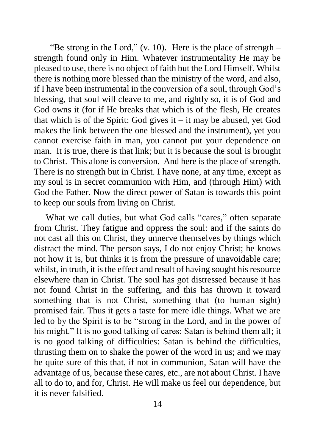"Be strong in the Lord,"  $(v. 10)$ . Here is the place of strength – strength found only in Him. Whatever instrumentality He may be pleased to use, there is no object of faith but the Lord Himself. Whilst there is nothing more blessed than the ministry of the word, and also, if I have been instrumental in the conversion of a soul, through God's blessing, that soul will cleave to me, and rightly so, it is of God and God owns it (for if He breaks that which is of the flesh, He creates that which is of the Spirit: God gives it  $-$  it may be abused, yet God makes the link between the one blessed and the instrument), yet you cannot exercise faith in man, you cannot put your dependence on man. It is true, there is that link; but it is because the soul is brought to Christ. This alone is conversion. And here is the place of strength. There is no strength but in Christ. I have none, at any time, except as my soul is in secret communion with Him, and (through Him) with God the Father. Now the direct power of Satan is towards this point to keep our souls from living on Christ.

What we call duties, but what God calls "cares," often separate from Christ. They fatigue and oppress the soul: and if the saints do not cast all this on Christ, they unnerve themselves by things which distract the mind. The person says, I do not enjoy Christ; he knows not how it is, but thinks it is from the pressure of unavoidable care; whilst, in truth, it is the effect and result of having sought his resource elsewhere than in Christ. The soul has got distressed because it has not found Christ in the suffering, and this has thrown it toward something that is not Christ, something that (to human sight) promised fair. Thus it gets a taste for mere idle things. What we are led to by the Spirit is to be "strong in the Lord, and in the power of his might." It is no good talking of cares: Satan is behind them all; it is no good talking of difficulties: Satan is behind the difficulties, thrusting them on to shake the power of the word in us; and we may be quite sure of this that, if not in communion, Satan will have the advantage of us, because these cares, etc., are not about Christ. I have all to do to, and for, Christ. He will make us feel our dependence, but it is never falsified.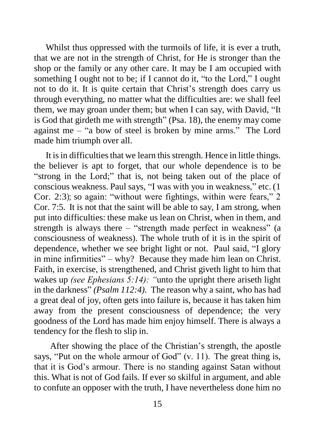Whilst thus oppressed with the turmoils of life, it is ever a truth, that we are not in the strength of Christ, for He is stronger than the shop or the family or any other care. It may be I am occupied with something I ought not to be; if I cannot do it, "to the Lord," I ought not to do it. It is quite certain that Christ's strength does carry us through everything, no matter what the difficulties are: we shall feel them, we may groan under them; but when I can say, with David, "It is God that girdeth me with strength" (Psa. 18), the enemy may come against me – "a bow of steel is broken by mine arms." The Lord made him triumph over all.

It is in difficulties that we learn this strength. Hence in little things. the believer is apt to forget, that our whole dependence is to be "strong in the Lord;" that is, not being taken out of the place of conscious weakness. Paul says, "I was with you in weakness," etc. (1 Cor. 2:3); so again: "without were fightings, within were fears," 2 Cor. 7:5. It is not that the saint will be able to say, I am strong, when put into difficulties: these make us lean on Christ, when in them, and strength is always there – "strength made perfect in weakness" (a consciousness of weakness). The whole truth of it is in the spirit of dependence, whether we see bright light or not. Paul said, "I glory in mine infirmities" – why? Because they made him lean on Christ. Faith, in exercise, is strengthened, and Christ giveth light to him that wakes up *(see Ephesians 5:14): "*unto the upright there ariseth light in the darkness" *(Psalm 112:4).* The reason why a saint, who has had a great deal of joy, often gets into failure is, because it has taken him away from the present consciousness of dependence; the very goodness of the Lord has made him enjoy himself. There is always a tendency for the flesh to slip in.

After showing the place of the Christian's strength, the apostle says, "Put on the whole armour of God" (v. 11). The great thing is, that it is God's armour. There is no standing against Satan without this. What is not of God fails. If ever so skilful in argument, and able to confute an opposer with the truth, I have nevertheless done him no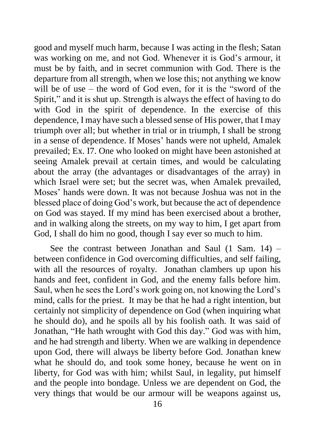good and myself much harm, because I was acting in the flesh; Satan was working on me, and not God. Whenever it is God's armour, it must be by faith, and in secret communion with God. There is the departure from all strength, when we lose this; not anything we know will be of use – the word of God even, for it is the "sword of the Spirit," and it is shut up. Strength is always the effect of having to do with God in the spirit of dependence. In the exercise of this dependence, I may have such a blessed sense of His power, that I may triumph over all; but whether in trial or in triumph, I shall be strong in a sense of dependence. If Moses' hands were not upheld, Amalek prevailed; Ex. I7. One who looked on might have been astonished at seeing Amalek prevail at certain times, and would be calculating about the array (the advantages or disadvantages of the array) in which Israel were set; but the secret was, when Amalek prevailed, Moses' hands were down. It was not because Joshua was not in the blessed place of doing God's work, but because the act of dependence on God was stayed. If my mind has been exercised about a brother, and in walking along the streets, on my way to him, I get apart from God, I shall do him no good, though I say ever so much to him.

See the contrast between Jonathan and Saul (1 Sam. 14) – between confidence in God overcoming difficulties, and self failing, with all the resources of royalty. Jonathan clambers up upon his hands and feet, confident in God, and the enemy falls before him. Saul, when he sees the Lord's work going on, not knowing the Lord's mind, calls for the priest. It may be that he had a right intention, but certainly not simplicity of dependence on God (when inquiring what he should do), and he spoils all by his foolish oath. It was said of Jonathan, "He hath wrought with God this day." God was with him, and he had strength and liberty. When we are walking in dependence upon God, there will always be liberty before God. Jonathan knew what he should do, and took some honey, because he went on in liberty, for God was with him; whilst Saul, in legality, put himself and the people into bondage. Unless we are dependent on God, the very things that would be our armour will be weapons against us,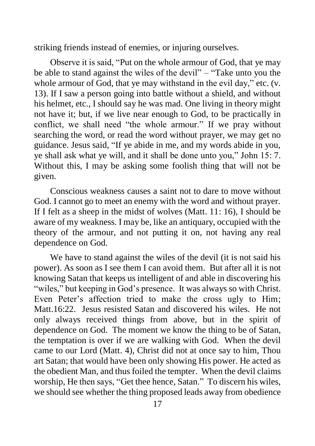striking friends instead of enemies, or injuring ourselves.

Observe it is said, "Put on the whole armour of God, that ye may be able to stand against the wiles of the devil" – "Take unto you the whole armour of God, that ye may withstand in the evil day," etc. (v. 13). If I saw a person going into battle without a shield, and without his helmet, etc., I should say he was mad. One living in theory might not have it; but, if we live near enough to God, to be practically in conflict, we shall need "the whole armour." If we pray without searching the word, or read the word without prayer, we may get no guidance. Jesus said, "If ye abide in me, and my words abide in you, ye shall ask what ye will, and it shall be done unto you," John 15: 7. Without this, I may be asking some foolish thing that will not be given.

Conscious weakness causes a saint not to dare to move without God. I cannot go to meet an enemy with the word and without prayer. If I felt as a sheep in the midst of wolves (Matt. 11: 16), I should be aware of my weakness. I may be, like an antiquary, occupied with the theory of the armour, and not putting it on, not having any real dependence on God.

We have to stand against the wiles of the devil (it is not said his power). As soon as I see them I can avoid them. But after all it is not knowing Satan that keeps us intelligent of and able in discovering his "wiles," but keeping in God's presence. It was always so with Christ. Even Peter's affection tried to make the cross ugly to Him; Matt.16:22. Jesus resisted Satan and discovered his wiles. He not only always received things from above, but in the spirit of dependence on God. The moment we know the thing to be of Satan, the temptation is over if we are walking with God. When the devil came to our Lord (Matt. 4), Christ did not at once say to him, Thou art Satan; that would have been only showing His power. He acted as the obedient Man, and thus foiled the tempter. When the devil claims worship, He then says, "Get thee hence, Satan." To discern his wiles, we should see whether the thing proposed leads away from obedience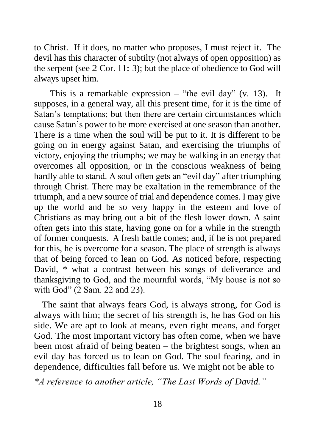to Christ. If it does, no matter who proposes, I must reject it. The devil has this character of subtilty (not always of open opposition) as the serpent (see 2 Cor. 11: 3); but the place of obedience to God will always upset him.

This is a remarkable expression – "the evil day" (v. 13). It supposes, in a general way, all this present time, for it is the time of Satan's temptations; but then there are certain circumstances which cause Satan's power to be more exercised at one season than another. There is a time when the soul will be put to it. It is different to be going on in energy against Satan, and exercising the triumphs of victory, enjoying the triumphs; we may be walking in an energy that overcomes all opposition, or in the conscious weakness of being hardly able to stand. A soul often gets an "evil day" after triumphing through Christ. There may be exaltation in the remembrance of the triumph, and a new source of trial and dependence comes. I may give up the world and be so very happy in the esteem and love of Christians as may bring out a bit of the flesh lower down. A saint often gets into this state, having gone on for a while in the strength of former conquests. A fresh battle comes; and, if he is not prepared for this, he is overcome for a season. The place of strength is always that of being forced to lean on God. As noticed before, respecting David, \* what a contrast between his songs of deliverance and thanksgiving to God, and the mournful words, "My house is not so with God" (2 Sam. 22 and 23).

The saint that always fears God, is always strong, for God is always with him; the secret of his strength is, he has God on his side. We are apt to look at means, even right means, and forget God. The most important victory has often come, when we have been most afraid of being beaten – the brightest songs, when an evil day has forced us to lean on God. The soul fearing, and in dependence, difficulties fall before us. We might not be able to

*\*A reference to another article, "The Last Words of David."*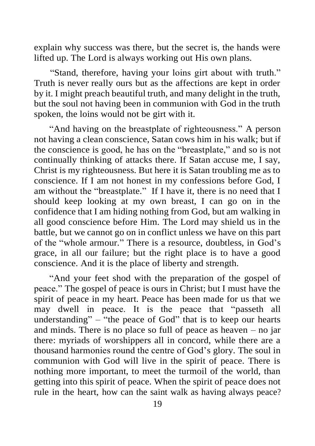explain why success was there, but the secret is, the hands were lifted up. The Lord is always working out His own plans.

"Stand, therefore, having your loins girt about with truth." Truth is never really ours but as the affections are kept in order by it. I might preach beautiful truth, and many delight in the truth, but the soul not having been in communion with God in the truth spoken, the loins would not be girt with it.

"And having on the breastplate of righteousness." A person not having a clean conscience, Satan cows him in his walk; but if the conscience is good, he has on the "breastplate," and so is not continually thinking of attacks there. If Satan accuse me, I say, Christ is my righteousness. But here it is Satan troubling me as to conscience. If I am not honest in my confessions before God, I am without the "breastplate." If I have it, there is no need that I should keep looking at my own breast, I can go on in the confidence that I am hiding nothing from God, but am walking in all good conscience before Him. The Lord may shield us in the battle, but we cannot go on in conflict unless we have on this part of the "whole armour." There is a resource, doubtless, in God's grace, in all our failure; but the right place is to have a good conscience. And it is the place of liberty and strength.

"And your feet shod with the preparation of the gospel of peace." The gospel of peace is ours in Christ; but I must have the spirit of peace in my heart. Peace has been made for us that we may dwell in peace. It is the peace that "passeth all understanding"  $-$  "the peace of God" that is to keep our hearts and minds. There is no place so full of peace as heaven – no jar there: myriads of worshippers all in concord, while there are a thousand harmonies round the centre of God's glory. The soul in communion with God will live in the spirit of peace. There is nothing more important, to meet the turmoil of the world, than getting into this spirit of peace. When the spirit of peace does not rule in the heart, how can the saint walk as having always peace?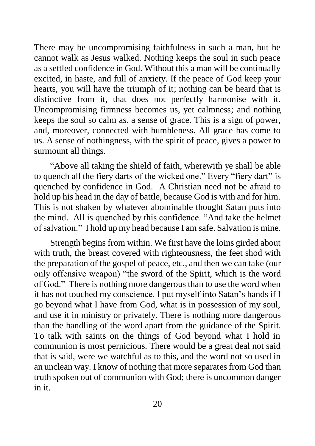There may be uncompromising faithfulness in such a man, but he cannot walk as Jesus walked. Nothing keeps the soul in such peace as a settled confidence in God. Without this a man will be continually excited, in haste, and full of anxiety. If the peace of God keep your hearts, you will have the triumph of it; nothing can be heard that is distinctive from it, that does not perfectly harmonise with it. Uncompromising firmness becomes us, yet calmness; and nothing keeps the soul so calm as. a sense of grace. This is a sign of power, and, moreover, connected with humbleness. All grace has come to us. A sense of nothingness, with the spirit of peace, gives a power to surmount all things.

"Above all taking the shield of faith, wherewith ye shall be able to quench all the fiery darts of the wicked one." Every "fiery dart" is quenched by confidence in God. A Christian need not be afraid to hold up his head in the day of battle, because God is with and for him. This is not shaken by whatever abominable thought Satan puts into the mind. All is quenched by this confidence. "And take the helmet of salvation." I hold up my head because I am safe. Salvation is mine.

Strength begins from within. We first have the loins girded about with truth, the breast covered with righteousness, the feet shod with the preparation of the gospel of peace, etc., and then we can take (our only offensive weapon) "the sword of the Spirit, which is the word of God." There is nothing more dangerous than to use the word when it has not touched my conscience. I put myself into Satan's hands if I go beyond what I have from God, what is in possession of my soul, and use it in ministry or privately. There is nothing more dangerous than the handling of the word apart from the guidance of the Spirit. To talk with saints on the things of God beyond what I hold in communion is most pernicious. There would be a great deal not said that is said, were we watchful as to this, and the word not so used in an unclean way. I know of nothing that more separates from God than truth spoken out of communion with God; there is uncommon danger in it.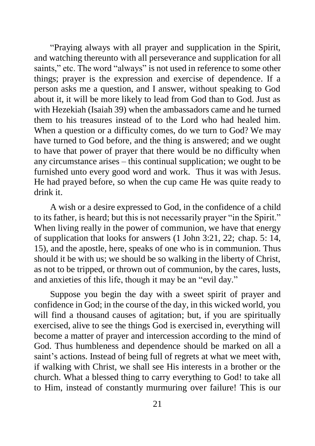"Praying always with all prayer and supplication in the Spirit, and watching thereunto with all perseverance and supplication for all saints," etc. The word "always" is not used in reference to some other things; prayer is the expression and exercise of dependence. If a person asks me a question, and I answer, without speaking to God about it, it will be more likely to lead from God than to God. Just as with Hezekiah (Isaiah 39) when the ambassadors came and he turned them to his treasures instead of to the Lord who had healed him. When a question or a difficulty comes, do we turn to God? We may have turned to God before, and the thing is answered; and we ought to have that power of prayer that there would be no difficulty when any circumstance arises – this continual supplication; we ought to be furnished unto every good word and work. Thus it was with Jesus. He had prayed before, so when the cup came He was quite ready to drink it.

A wish or a desire expressed to God, in the confidence of a child to its father, is heard; but this is not necessarily prayer "in the Spirit." When living really in the power of communion, we have that energy of supplication that looks for answers (1 John 3:21, 22; chap. 5: 14, 15), and the apostle, here, speaks of one who is in communion. Thus should it be with us; we should be so walking in the liberty of Christ, as not to be tripped, or thrown out of communion, by the cares, lusts, and anxieties of this life, though it may be an "evil day."

Suppose you begin the day with a sweet spirit of prayer and confidence in God; in the course of the day, in this wicked world, you will find a thousand causes of agitation; but, if you are spiritually exercised, alive to see the things God is exercised in, everything will become a matter of prayer and intercession according to the mind of God. Thus humbleness and dependence should be marked on all a saint's actions. Instead of being full of regrets at what we meet with, if walking with Christ, we shall see His interests in a brother or the church. What a blessed thing to carry everything to God! to take all to Him, instead of constantly murmuring over failure! This is our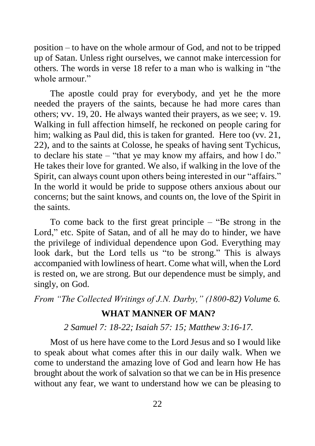position – to have on the whole armour of God, and not to be tripped up of Satan. Unless right ourselves, we cannot make intercession for others. The words in verse 18 refer to a man who is walking in "the whole armour."

The apostle could pray for everybody, and yet he the more needed the prayers of the saints, because he had more cares than others; vv. 19, 20. He always wanted their prayers, as we see; v. 19. Walking in full affection himself, he reckoned on people caring for him; walking as Paul did, this is taken for granted. Here too (vv. 21, 22), and to the saints at Colosse, he speaks of having sent Tychicus, to declare his state – "that ye may know my affairs, and how I do." He takes their love for granted. We also, if walking in the love of the Spirit, can always count upon others being interested in our "affairs." In the world it would be pride to suppose others anxious about our concerns; but the saint knows, and counts on, the love of the Spirit in the saints.

To come back to the first great principle – "Be strong in the Lord," etc. Spite of Satan, and of all he may do to hinder, we have the privilege of individual dependence upon God. Everything may look dark, but the Lord tells us "to be strong." This is always accompanied with lowliness of heart. Come what will, when the Lord is rested on, we are strong. But our dependence must be simply, and singly, on God.

*From "The Collected Writings of J.N. Darby," (1800-82) Volume 6.*

#### **WHAT MANNER OF MAN?**

*2 Samuel 7: 18-22; Isaiah 57: 15; Matthew 3:16-17.*

Most of us here have come to the Lord Jesus and so I would like to speak about what comes after this in our daily walk. When we come to understand the amazing love of God and learn how He has brought about the work of salvation so that we can be in His presence without any fear, we want to understand how we can be pleasing to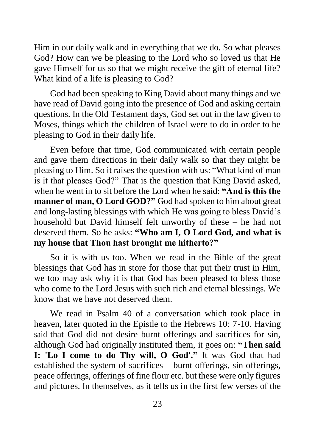Him in our daily walk and in everything that we do. So what pleases God? How can we be pleasing to the Lord who so loved us that He gave Himself for us so that we might receive the gift of eternal life? What kind of a life is pleasing to God?

God had been speaking to King David about many things and we have read of David going into the presence of God and asking certain questions. In the Old Testament days, God set out in the law given to Moses, things which the children of Israel were to do in order to be pleasing to God in their daily life.

Even before that time, God communicated with certain people and gave them directions in their daily walk so that they might be pleasing to Him. So it raises the question with us: "What kind of man is it that pleases God?" That is the question that King David asked, when he went in to sit before the Lord when he said: **"And is this the manner of man, O Lord GOD?"** God had spoken to him about great and long-lasting blessings with which He was going to bless David's household but David himself felt unworthy of these – he had not deserved them. So he asks: **"Who am I, O Lord God, and what is my house that Thou hast brought me hitherto?"**

So it is with us too. When we read in the Bible of the great blessings that God has in store for those that put their trust in Him, we too may ask why it is that God has been pleased to bless those who come to the Lord Jesus with such rich and eternal blessings. We know that we have not deserved them.

We read in Psalm 40 of a conversation which took place in heaven, later quoted in the Epistle to the Hebrews 10: 7-10. Having said that God did not desire burnt offerings and sacrifices for sin, although God had originally instituted them, it goes on: **"Then said I: 'Lo I come to do Thy will, O God'."** It was God that had established the system of sacrifices – burnt offerings, sin offerings, peace offerings, offerings of fine flour etc. but these were only figures and pictures. In themselves, as it tells us in the first few verses of the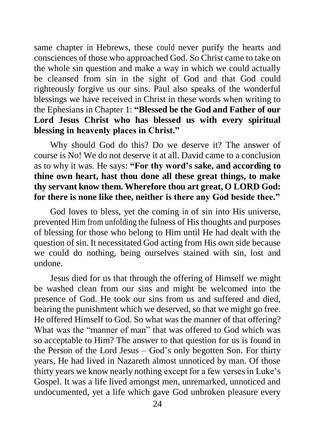same chapter in Hebrews, these could never purify the hearts and consciences of those who approached God. So Christ came to take on the whole sin question and make a way in which we could actually be cleansed from sin in the sight of God and that God could righteously forgive us our sins. Paul also speaks of the wonderful blessings we have received in Christ in these words when writing to the Ephesians in Chapter 1: **"Blessed be the God and Father of our Lord Jesus Christ who has blessed us with every spiritual blessing in heavenly places in Christ."**

Why should God do this? Do we deserve it? The answer of course is No! We do not deserve it at all. David came to a conclusion as to why it was. He says: **"For thy word's sake, and according to thine own heart, hast thou done all these great things, to make thy servant know them. Wherefore thou art great, O LORD God: for there is none like thee, neither is there any God beside thee."**

God loves to bless, yet the coming in of sin into His universe, prevented Him from unfolding the fulness of His thoughts and purposes of blessing for those who belong to Him until He had dealt with the question of sin. It necessitated God acting from His own side because we could do nothing, being ourselves stained with sin, lost and undone.

Jesus died for us that through the offering of Himself we might be washed clean from our sins and might be welcomed into the presence of God. He took our sins from us and suffered and died, bearing the punishment which we deserved, so that we might go free. He offered Himself to God. So what was the manner of that offering? What was the "manner of man" that was offered to God which was so acceptable to Him? The answer to that question for us is found in the Person of the Lord Jesus – God's only begotten Son. For thirty years, He had lived in Nazareth almost unnoticed by man. Of those thirty years we know nearly nothing except for a few verses in Luke's Gospel. It was a life lived amongst men, unremarked, unnoticed and undocumented, yet a life which gave God unbroken pleasure every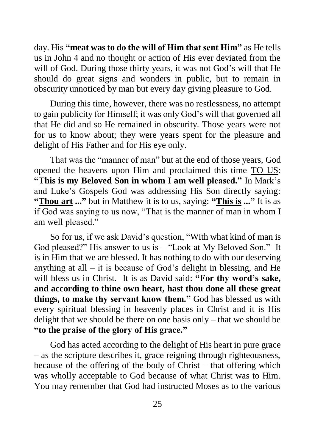day. His **"meat was to do the will of Him that sent Him"** as He tells us in John 4 and no thought or action of His ever deviated from the will of God. During those thirty years, it was not God's will that He should do great signs and wonders in public, but to remain in obscurity unnoticed by man but every day giving pleasure to God.

During this time, however, there was no restlessness, no attempt to gain publicity for Himself; it was only God's will that governed all that He did and so He remained in obscurity. Those years were not for us to know about; they were years spent for the pleasure and delight of His Father and for His eye only.

That was the "manner of man" but at the end of those years, God opened the heavens upon Him and proclaimed this time TO US: **"This is my Beloved Son in whom I am well pleased."** In Mark's and Luke's Gospels God was addressing His Son directly saying: **"Thou art ..."** but in Matthew it is to us, saying: **"This is ..."** It is as if God was saying to us now, "That is the manner of man in whom I am well pleased."

So for us, if we ask David's question, "With what kind of man is God pleased?" His answer to us is – "Look at My Beloved Son." It is in Him that we are blessed. It has nothing to do with our deserving anything at all  $-$  it is because of God's delight in blessing, and He will bless us in Christ. It is as David said: **"For thy word's sake, and according to thine own heart, hast thou done all these great things, to make thy servant know them."** God has blessed us with every spiritual blessing in heavenly places in Christ and it is His delight that we should be there on one basis only – that we should be **"to the praise of the glory of His grace."**

God has acted according to the delight of His heart in pure grace – as the scripture describes it, grace reigning through righteousness, because of the offering of the body of Christ – that offering which was wholly acceptable to God because of what Christ was to Him. You may remember that God had instructed Moses as to the various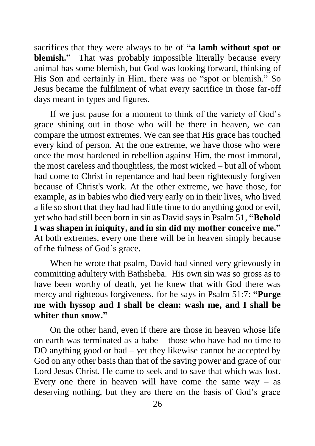sacrifices that they were always to be of **"a lamb without spot or blemish."** That was probably impossible literally because every animal has some blemish, but God was looking forward, thinking of His Son and certainly in Him, there was no "spot or blemish." So Jesus became the fulfilment of what every sacrifice in those far-off days meant in types and figures.

If we just pause for a moment to think of the variety of God's grace shining out in those who will be there in heaven, we can compare the utmost extremes. We can see that His grace has touched every kind of person. At the one extreme, we have those who were once the most hardened in rebellion against Him, the most immoral, the most careless and thoughtless, the most wicked – but all of whom had come to Christ in repentance and had been righteously forgiven because of Christ's work. At the other extreme, we have those, for example, as in babies who died very early on in their lives, who lived a life so short that they had had little time to do anything good or evil, yet who had still been born in sin as David says in Psalm 51, **"Behold I was shapen in iniquity, and in sin did my mother conceive me."** At both extremes, every one there will be in heaven simply because of the fulness of God's grace.

When he wrote that psalm, David had sinned very grievously in committing adultery with Bathsheba. His own sin was so gross as to have been worthy of death, yet he knew that with God there was mercy and righteous forgiveness, for he says in Psalm 51:7: **"Purge me with hyssop and I shall be clean: wash me, and I shall be whiter than snow."**

On the other hand, even if there are those in heaven whose life on earth was terminated as a babe – those who have had no time to DO anything good or bad – yet they likewise cannot be accepted by God on any other basis than that of the saving power and grace of our Lord Jesus Christ. He came to seek and to save that which was lost. Every one there in heaven will have come the same  $way - as$ deserving nothing, but they are there on the basis of God's grace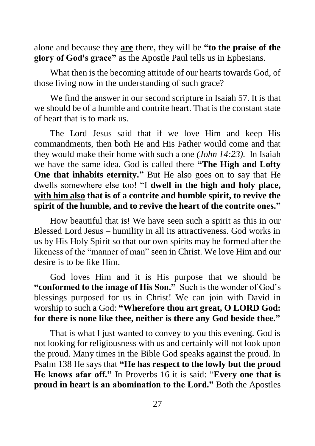alone and because they **are** there, they will be **"to the praise of the glory of God's grace"** as the Apostle Paul tells us in Ephesians.

What then is the becoming attitude of our hearts towards God, of those living now in the understanding of such grace?

We find the answer in our second scripture in Isaiah 57. It is that we should be of a humble and contrite heart. That is the constant state of heart that is to mark us.

The Lord Jesus said that if we love Him and keep His commandments, then both He and His Father would come and that they would make their home with such a one *(John 14:23).* In Isaiah we have the same idea. God is called there **"The High and Lofty One that inhabits eternity."** But He also goes on to say that He dwells somewhere else too! "I **dwell in the high and holy place, with him also that is of a contrite and humble spirit, to revive the spirit of the humble, and to revive the heart of the contrite ones."**

How beautiful that is! We have seen such a spirit as this in our Blessed Lord Jesus – humility in all its attractiveness. God works in us by His Holy Spirit so that our own spirits may be formed after the likeness of the "manner of man" seen in Christ. We love Him and our desire is to be like Him.

God loves Him and it is His purpose that we should be **"conformed to the image of His Son."** Such is the wonder of God's blessings purposed for us in Christ! We can join with David in worship to such a God: **"Wherefore thou art great, O LORD God: for there is none like thee, neither is there any God beside thee."**

That is what I just wanted to convey to you this evening. God is not looking for religiousness with us and certainly will not look upon the proud. Many times in the Bible God speaks against the proud. In Psalm 138 He says that **"He has respect to the lowly but the proud He knows afar off."** In Proverbs 16 it is said: "**Every one that is proud in heart is an abomination to the Lord."** Both the Apostles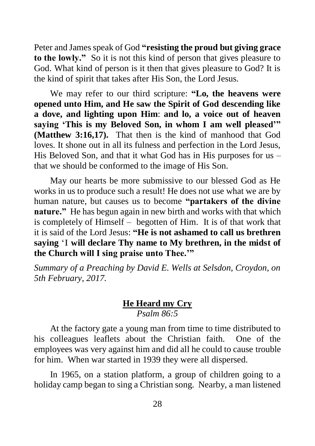Peter and James speak of God **"resisting the proud but giving grace to the lowly."** So it is not this kind of person that gives pleasure to God. What kind of person is it then that gives pleasure to God? It is the kind of spirit that takes after His Son, the Lord Jesus.

We may refer to our third scripture: **"Lo, the heavens were opened unto Him, and He saw the Spirit of God descending like a dove, and lighting upon Him**: **and lo, a voice out of heaven saying 'This is my Beloved Son, in whom I am well pleased'" (Matthew 3:16,17).** That then is the kind of manhood that God loves. It shone out in all its fulness and perfection in the Lord Jesus, His Beloved Son, and that it what God has in His purposes for us – that we should be conformed to the image of His Son.

May our hearts be more submissive to our blessed God as He works in us to produce such a result! He does not use what we are by human nature, but causes us to become **"partakers of the divine nature."** He has begun again in new birth and works with that which is completely of Himself – begotten of Him. It is of that work that it is said of the Lord Jesus: **"He is not ashamed to call us brethren saying** 'I **will declare Thy name to My brethren, in the midst of the Church will I sing praise unto Thee.'"**

*Summary of a Preaching by David E. Wells at Selsdon, Croydon, on 5th February, 2017.*

#### **He Heard my Cry** *Psalm 86:5*

At the factory gate a young man from time to time distributed to his colleagues leaflets about the Christian faith. One of the employees was very against him and did all he could to cause trouble for him. When war started in 1939 they were all dispersed.

In 1965, on a station platform, a group of children going to a holiday camp began to sing a Christian song. Nearby, a man listened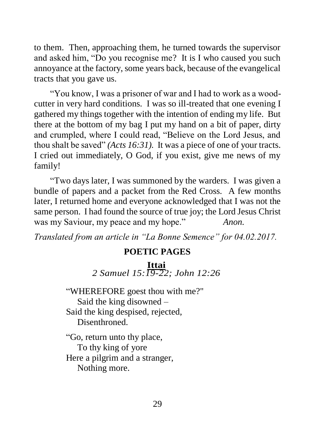to them. Then, approaching them, he turned towards the supervisor and asked him, "Do you recognise me? It is I who caused you such annoyance at the factory, some years back, because of the evangelical tracts that you gave us.

"You know, I was a prisoner of war and I had to work as a woodcutter in very hard conditions. I was so ill-treated that one evening I gathered my things together with the intention of ending my life. But there at the bottom of my bag I put my hand on a bit of paper, dirty and crumpled, where I could read, "Believe on the Lord Jesus, and thou shalt be saved" *(Acts 16:31).* It was a piece of one of your tracts. I cried out immediately, O God, if you exist, give me news of my family!

"Two days later, I was summoned by the warders. I was given a bundle of papers and a packet from the Red Cross. A few months later, I returned home and everyone acknowledged that I was not the same person. I had found the source of true joy; the Lord Jesus Christ was my Saviour, my peace and my hope." *Anon.*

*Translated from an article in "La Bonne Semence" for 04.02.2017.*

#### **POETIC PAGES**

#### **Ittai**

*2 Samuel 15:19-22; John 12:26*

"WHEREFORE goest thou with me?" Said the king disowned – Said the king despised, rejected, Disenthroned.

"Go, return unto thy place, To thy king of yore Here a pilgrim and a stranger, Nothing more.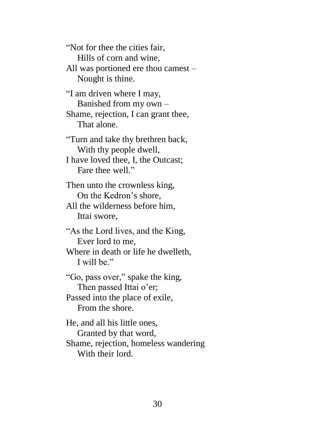"Not for thee the cities fair, Hills of corn and wine, All was portioned ere thou camest – Nought is thine.

"I am driven where I may, Banished from my own – Shame, rejection, I can grant thee, That alone.

"Turn and take thy brethren back, With thy people dwell,

I have loved thee, I, the Outcast; Fare thee well."

Then unto the crownless king, On the Kedron's shore,

All the wilderness before him, Ittai swore,

"As the Lord lives, and the King, Ever lord to me,

Where in death or life he dwelleth, I will be."

"Go, pass over," spake the king, Then passed Ittai o'er; Passed into the place of exile,

From the shore.

He, and all his little ones, Granted by that word, Shame, rejection, homeless wandering With their lord.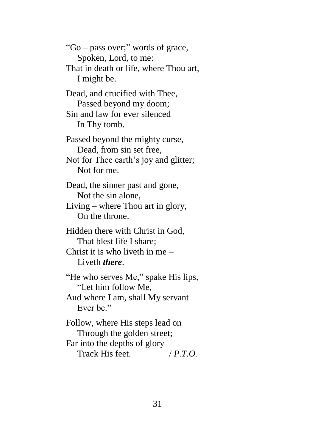"Go – pass over;" words of grace, Spoken, Lord, to me: That in death or life, where Thou art, I might be. Dead, and crucified with Thee, Passed beyond my doom; Sin and law for ever silenced In Thy tomb. Passed beyond the mighty curse, Dead, from sin set free, Not for Thee earth's joy and glitter; Not for me. Dead, the sinner past and gone, Not the sin alone, Living – where Thou art in glory, On the throne. Hidden there with Christ in God, That blest life I share; Christ it is who liveth in me – Liveth *there*. "He who serves Me," spake His lips, "Let him follow Me, Aud where I am, shall My servant Ever he" Follow, where His steps lead on Through the golden street; Far into the depths of glory Track His feet. / *P.T.O.*